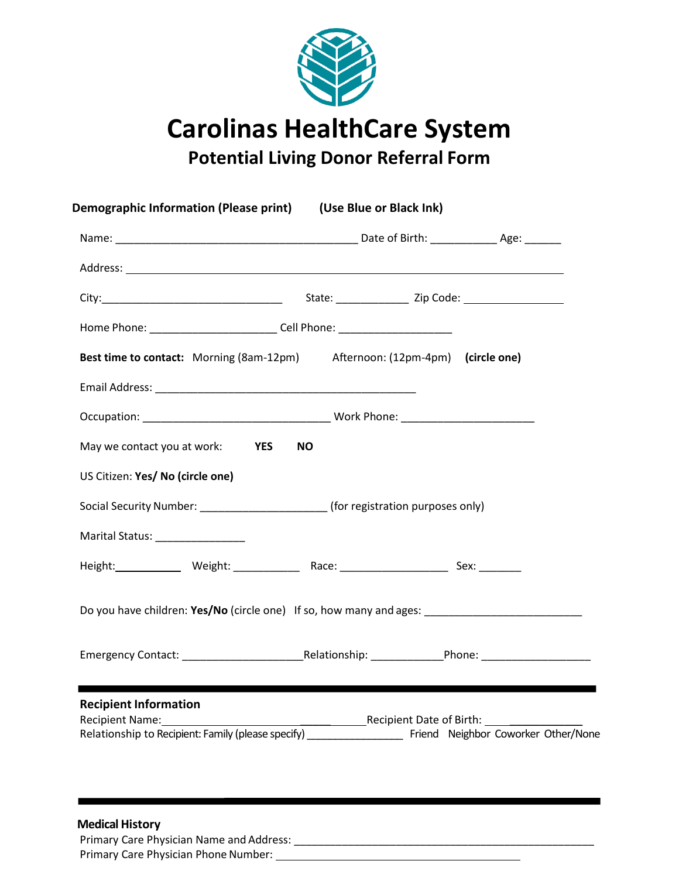

**Carolinas HealthCare System**

**Potential Living Donor Referral Form**

| Home Phone: ______________________________Cell Phone: __________________________<br>Best time to contact: Morning (8am-12pm) Afternoon: (12pm-4pm) (circle one)<br>May we contact you at work: <b>YES</b><br><b>NO</b><br>US Citizen: Yes/ No (circle one)<br>Social Security Number: _________________________________(for registration purposes only)<br>Marital Status: ________________<br>Do you have children: Yes/No (circle one) If so, how many and ages: ________________________________<br><b>Recipient Information</b><br><b>Recipient Name:</b><br>Recipient Date of Birth:<br>Relationship to Recipient: Family (please specify)<br>Friend Neighbor Coworker Other/None |  |  |
|----------------------------------------------------------------------------------------------------------------------------------------------------------------------------------------------------------------------------------------------------------------------------------------------------------------------------------------------------------------------------------------------------------------------------------------------------------------------------------------------------------------------------------------------------------------------------------------------------------------------------------------------------------------------------------------|--|--|
|                                                                                                                                                                                                                                                                                                                                                                                                                                                                                                                                                                                                                                                                                        |  |  |
|                                                                                                                                                                                                                                                                                                                                                                                                                                                                                                                                                                                                                                                                                        |  |  |
|                                                                                                                                                                                                                                                                                                                                                                                                                                                                                                                                                                                                                                                                                        |  |  |
|                                                                                                                                                                                                                                                                                                                                                                                                                                                                                                                                                                                                                                                                                        |  |  |
|                                                                                                                                                                                                                                                                                                                                                                                                                                                                                                                                                                                                                                                                                        |  |  |
|                                                                                                                                                                                                                                                                                                                                                                                                                                                                                                                                                                                                                                                                                        |  |  |
|                                                                                                                                                                                                                                                                                                                                                                                                                                                                                                                                                                                                                                                                                        |  |  |
|                                                                                                                                                                                                                                                                                                                                                                                                                                                                                                                                                                                                                                                                                        |  |  |
|                                                                                                                                                                                                                                                                                                                                                                                                                                                                                                                                                                                                                                                                                        |  |  |
|                                                                                                                                                                                                                                                                                                                                                                                                                                                                                                                                                                                                                                                                                        |  |  |
|                                                                                                                                                                                                                                                                                                                                                                                                                                                                                                                                                                                                                                                                                        |  |  |
|                                                                                                                                                                                                                                                                                                                                                                                                                                                                                                                                                                                                                                                                                        |  |  |
|                                                                                                                                                                                                                                                                                                                                                                                                                                                                                                                                                                                                                                                                                        |  |  |
|                                                                                                                                                                                                                                                                                                                                                                                                                                                                                                                                                                                                                                                                                        |  |  |
|                                                                                                                                                                                                                                                                                                                                                                                                                                                                                                                                                                                                                                                                                        |  |  |
|                                                                                                                                                                                                                                                                                                                                                                                                                                                                                                                                                                                                                                                                                        |  |  |

Primary Care Physician Name and Address: \_\_\_\_\_\_\_\_\_\_\_\_\_\_\_\_\_\_\_\_\_\_\_\_\_\_\_\_\_\_\_\_\_\_\_\_\_\_\_\_\_\_\_\_\_\_\_\_\_\_

Primary Care Physician Phone Number: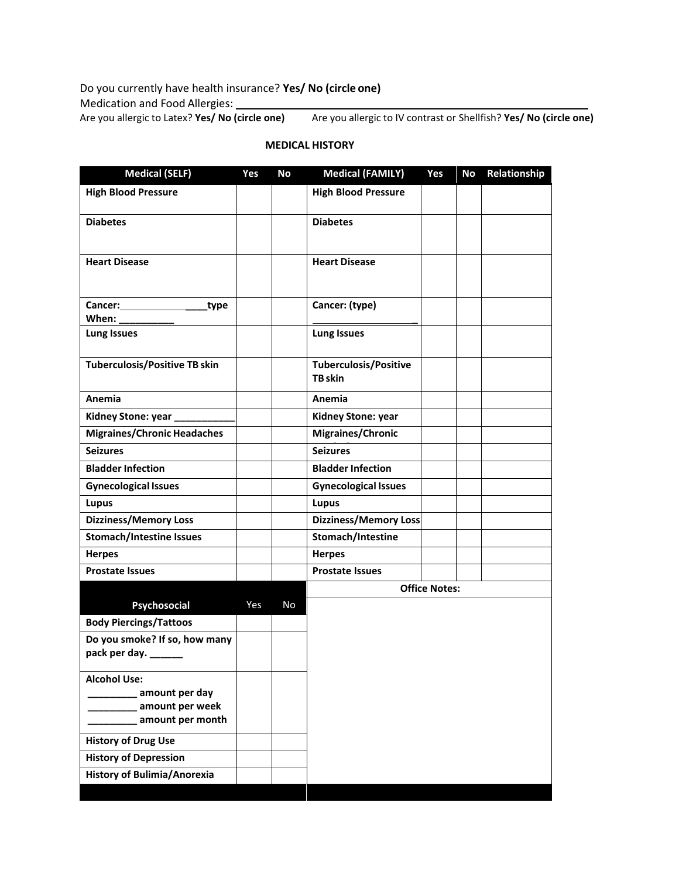Do you currently have health insurance? **Yes/ No (circle one)**

Medication and Food Allergies:

Are you allergic to Latex? **Yes/ No (circle one)** Are you allergic to IV contrast or Shellfish? **Yes/ No (circle one)**

| <b>Medical (SELF)</b>                                | Yes | No        | <b>Medical (FAMILY)</b>                 | Yes                  | No | Relationship |
|------------------------------------------------------|-----|-----------|-----------------------------------------|----------------------|----|--------------|
| <b>High Blood Pressure</b>                           |     |           | <b>High Blood Pressure</b>              |                      |    |              |
| <b>Diabetes</b>                                      |     |           | <b>Diabetes</b>                         |                      |    |              |
| <b>Heart Disease</b>                                 |     |           | <b>Heart Disease</b>                    |                      |    |              |
| Cancer:<br>type<br>When:                             |     |           | Cancer: (type)                          |                      |    |              |
| <b>Lung Issues</b>                                   |     |           | <b>Lung Issues</b>                      |                      |    |              |
| <b>Tuberculosis/Positive TB skin</b>                 |     |           | <b>Tuberculosis/Positive</b><br>TB skin |                      |    |              |
| Anemia                                               |     |           | Anemia                                  |                      |    |              |
| Kidney Stone: year                                   |     |           | Kidney Stone: year                      |                      |    |              |
| <b>Migraines/Chronic Headaches</b>                   |     |           | Migraines/Chronic                       |                      |    |              |
| <b>Seizures</b>                                      |     |           | <b>Seizures</b>                         |                      |    |              |
| <b>Bladder Infection</b>                             |     |           | <b>Bladder Infection</b>                |                      |    |              |
| <b>Gynecological Issues</b>                          |     |           | <b>Gynecological Issues</b>             |                      |    |              |
| <b>Lupus</b>                                         |     |           | Lupus                                   |                      |    |              |
| <b>Dizziness/Memory Loss</b>                         |     |           | <b>Dizziness/Memory Loss</b>            |                      |    |              |
| <b>Stomach/Intestine Issues</b>                      |     |           | Stomach/Intestine                       |                      |    |              |
| <b>Herpes</b>                                        |     |           | <b>Herpes</b>                           |                      |    |              |
| <b>Prostate Issues</b>                               |     |           | <b>Prostate Issues</b>                  |                      |    |              |
|                                                      |     |           |                                         | <b>Office Notes:</b> |    |              |
| Psychosocial                                         | Yes | <b>No</b> |                                         |                      |    |              |
| <b>Body Piercings/Tattoos</b>                        |     |           |                                         |                      |    |              |
| Do you smoke? If so, how many<br>pack per day. _____ |     |           |                                         |                      |    |              |
| <b>Alcohol Use:</b>                                  |     |           |                                         |                      |    |              |
| amount per day                                       |     |           |                                         |                      |    |              |
| amount per week<br>amount per month                  |     |           |                                         |                      |    |              |
|                                                      |     |           |                                         |                      |    |              |
| <b>History of Drug Use</b>                           |     |           |                                         |                      |    |              |
| <b>History of Depression</b>                         |     |           |                                         |                      |    |              |
| History of Bulimia/Anorexia                          |     |           |                                         |                      |    |              |

## **MEDICAL HISTORY**